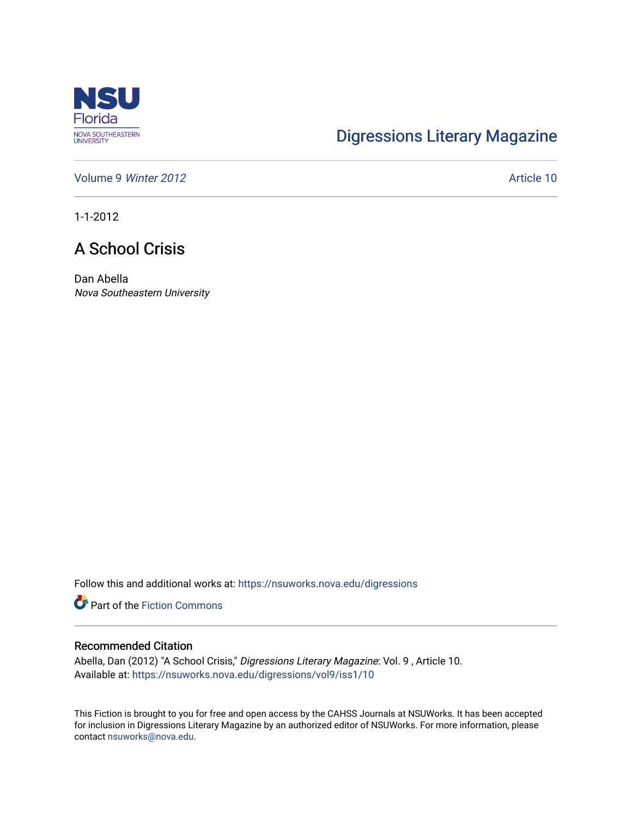

## [Digressions Literary Magazine](https://nsuworks.nova.edu/digressions)

[Volume 9](https://nsuworks.nova.edu/digressions/vol9) Winter 2012 **Article 10** 

1-1-2012

## A School Crisis

Dan Abella Nova Southeastern University

Follow this and additional works at: [https://nsuworks.nova.edu/digressions](https://nsuworks.nova.edu/digressions?utm_source=nsuworks.nova.edu%2Fdigressions%2Fvol9%2Fiss1%2F10&utm_medium=PDF&utm_campaign=PDFCoverPages) 

**Part of the Fiction Commons** 

## Recommended Citation

Abella, Dan (2012) "A School Crisis," Digressions Literary Magazine: Vol. 9 , Article 10. Available at: [https://nsuworks.nova.edu/digressions/vol9/iss1/10](https://nsuworks.nova.edu/digressions/vol9/iss1/10?utm_source=nsuworks.nova.edu%2Fdigressions%2Fvol9%2Fiss1%2F10&utm_medium=PDF&utm_campaign=PDFCoverPages) 

This Fiction is brought to you for free and open access by the CAHSS Journals at NSUWorks. It has been accepted for inclusion in Digressions Literary Magazine by an authorized editor of NSUWorks. For more information, please contact [nsuworks@nova.edu.](mailto:nsuworks@nova.edu)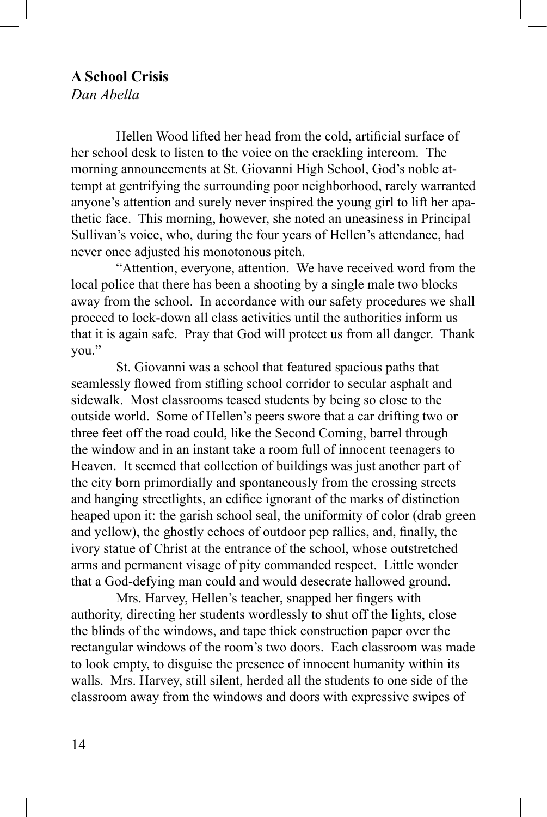## **A School Crisis**

*Dan Abella*

Hellen Wood lifted her head from the cold, artificial surface of her school desk to listen to the voice on the crackling intercom. The morning announcements at St. Giovanni High School, God's noble attempt at gentrifying the surrounding poor neighborhood, rarely warranted anyone's attention and surely never inspired the young girl to lift her apathetic face. This morning, however, she noted an uneasiness in Principal Sullivan's voice, who, during the four years of Hellen's attendance, had never once adjusted his monotonous pitch.

"Attention, everyone, attention. We have received word from the local police that there has been a shooting by a single male two blocks away from the school. In accordance with our safety procedures we shall proceed to lock-down all class activities until the authorities inform us that it is again safe. Pray that God will protect us from all danger. Thank you."

St. Giovanni was a school that featured spacious paths that seamlessly flowed from stifling school corridor to secular asphalt and sidewalk. Most classrooms teased students by being so close to the outside world. Some of Hellen's peers swore that a car drifting two or three feet off the road could, like the Second Coming, barrel through the window and in an instant take a room full of innocent teenagers to Heaven. It seemed that collection of buildings was just another part of the city born primordially and spontaneously from the crossing streets and hanging streetlights, an edifice ignorant of the marks of distinction heaped upon it: the garish school seal, the uniformity of color (drab green and yellow), the ghostly echoes of outdoor pep rallies, and, finally, the ivory statue of Christ at the entrance of the school, whose outstretched arms and permanent visage of pity commanded respect. Little wonder that a God-defying man could and would desecrate hallowed ground.

Mrs. Harvey, Hellen's teacher, snapped her fingers with authority, directing her students wordlessly to shut off the lights, close the blinds of the windows, and tape thick construction paper over the rectangular windows of the room's two doors. Each classroom was made to look empty, to disguise the presence of innocent humanity within its walls. Mrs. Harvey, still silent, herded all the students to one side of the classroom away from the windows and doors with expressive swipes of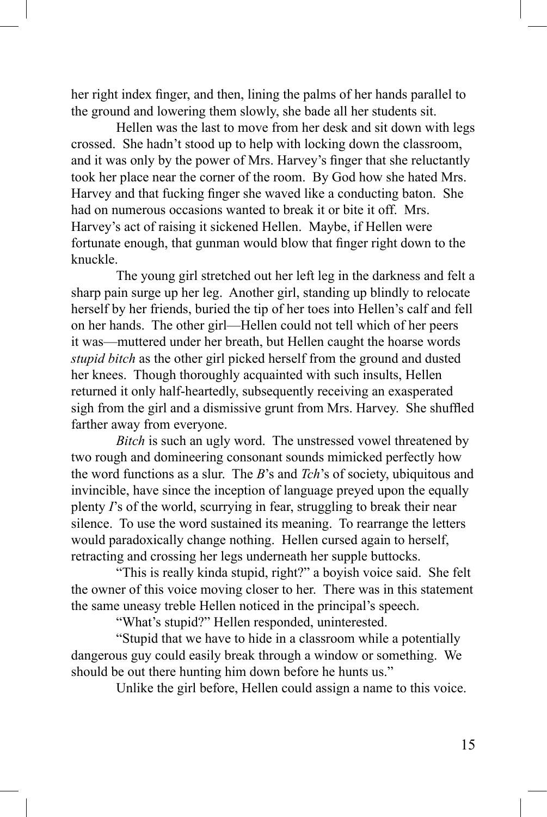her right index finger, and then, lining the palms of her hands parallel to the ground and lowering them slowly, she bade all her students sit.

Hellen was the last to move from her desk and sit down with legs crossed. She hadn't stood up to help with locking down the classroom, and it was only by the power of Mrs. Harvey's finger that she reluctantly took her place near the corner of the room. By God how she hated Mrs. Harvey and that fucking finger she waved like a conducting baton. She had on numerous occasions wanted to break it or bite it off. Mrs. Harvey's act of raising it sickened Hellen. Maybe, if Hellen were fortunate enough, that gunman would blow that finger right down to the knuckle.

The young girl stretched out her left leg in the darkness and felt a sharp pain surge up her leg. Another girl, standing up blindly to relocate herself by her friends, buried the tip of her toes into Hellen's calf and fell on her hands. The other girl—Hellen could not tell which of her peers it was—muttered under her breath, but Hellen caught the hoarse words *stupid bitch* as the other girl picked herself from the ground and dusted her knees. Though thoroughly acquainted with such insults, Hellen returned it only half-heartedly, subsequently receiving an exasperated sigh from the girl and a dismissive grunt from Mrs. Harvey. She shuffled farther away from everyone.

*Bitch* is such an ugly word. The unstressed vowel threatened by two rough and domineering consonant sounds mimicked perfectly how the word functions as a slur. The *B*'s and *Tch*'s of society, ubiquitous and invincible, have since the inception of language preyed upon the equally plenty *I*'s of the world, scurrying in fear, struggling to break their near silence. To use the word sustained its meaning. To rearrange the letters would paradoxically change nothing. Hellen cursed again to herself, retracting and crossing her legs underneath her supple buttocks.

"This is really kinda stupid, right?" a boyish voice said. She felt the owner of this voice moving closer to her. There was in this statement the same uneasy treble Hellen noticed in the principal's speech.

"What's stupid?" Hellen responded, uninterested.

"Stupid that we have to hide in a classroom while a potentially dangerous guy could easily break through a window or something. We should be out there hunting him down before he hunts us."

Unlike the girl before, Hellen could assign a name to this voice.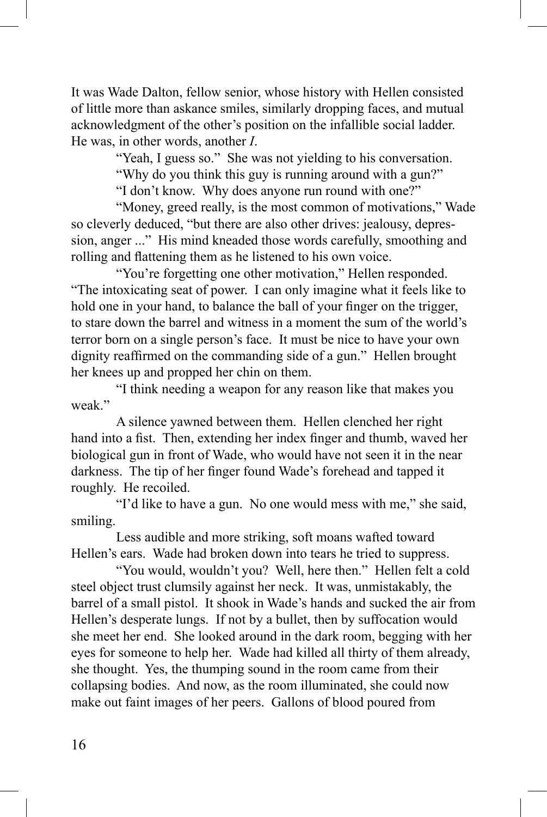It was Wade Dalton, fellow senior, whose history with Hellen consisted of little more than askance smiles, similarly dropping faces, and mutual acknowledgment of the other's position on the infallible social ladder. He was, in other words, another *I*.

"Yeah, I guess so." She was not yielding to his conversation.

"Why do you think this guy is running around with a gun?"

"I don't know. Why does anyone run round with one?"

"Money, greed really, is the most common of motivations," Wade so cleverly deduced, "but there are also other drives: jealousy, depression, anger ..." His mind kneaded those words carefully, smoothing and rolling and flattening them as he listened to his own voice.

"You're forgetting one other motivation," Hellen responded. "The intoxicating seat of power. I can only imagine what it feels like to hold one in your hand, to balance the ball of your finger on the trigger, to stare down the barrel and witness in a moment the sum of the world's terror born on a single person's face. It must be nice to have your own dignity reaffirmed on the commanding side of a gun." Hellen brought her knees up and propped her chin on them.

"I think needing a weapon for any reason like that makes you weak"

A silence yawned between them. Hellen clenched her right hand into a fist. Then, extending her index finger and thumb, waved her biological gun in front of Wade, who would have not seen it in the near darkness. The tip of her finger found Wade's forehead and tapped it roughly. He recoiled.

"I'd like to have a gun. No one would mess with me," she said, smiling.

Less audible and more striking, soft moans wafted toward Hellen's ears. Wade had broken down into tears he tried to suppress.

"You would, wouldn't you? Well, here then." Hellen felt a cold steel object trust clumsily against her neck. It was, unmistakably, the barrel of a small pistol. It shook in Wade's hands and sucked the air from Hellen's desperate lungs. If not by a bullet, then by suffocation would she meet her end. She looked around in the dark room, begging with her eyes for someone to help her. Wade had killed all thirty of them already, she thought. Yes, the thumping sound in the room came from their collapsing bodies. And now, as the room illuminated, she could now make out faint images of her peers. Gallons of blood poured from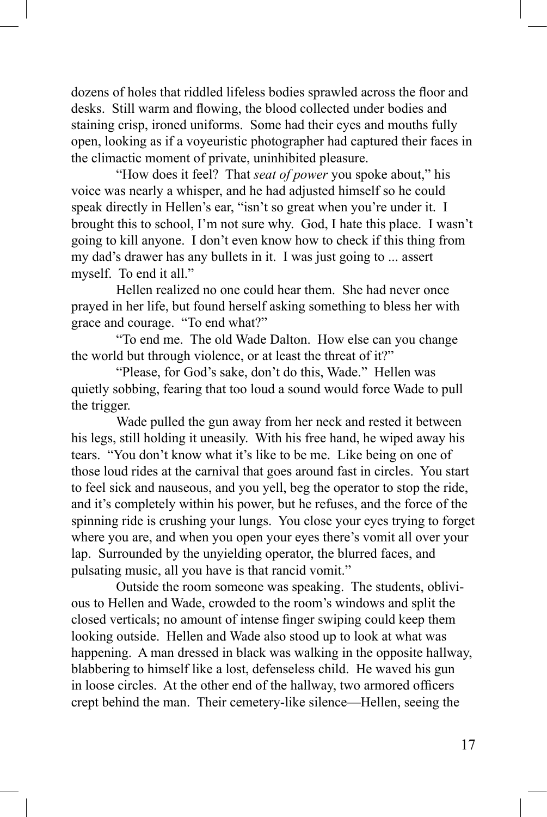dozens of holes that riddled lifeless bodies sprawled across the floor and desks. Still warm and flowing, the blood collected under bodies and staining crisp, ironed uniforms. Some had their eyes and mouths fully open, looking as if a voyeuristic photographer had captured their faces in the climactic moment of private, uninhibited pleasure.

"How does it feel? That *seat of power* you spoke about," his voice was nearly a whisper, and he had adjusted himself so he could speak directly in Hellen's ear, "isn't so great when you're under it. I brought this to school, I'm not sure why. God, I hate this place. I wasn't going to kill anyone. I don't even know how to check if this thing from my dad's drawer has any bullets in it. I was just going to ... assert myself. To end it all."

Hellen realized no one could hear them. She had never once prayed in her life, but found herself asking something to bless her with grace and courage. "To end what?"

"To end me. The old Wade Dalton. How else can you change the world but through violence, or at least the threat of it?"

"Please, for God's sake, don't do this, Wade." Hellen was quietly sobbing, fearing that too loud a sound would force Wade to pull the trigger.

Wade pulled the gun away from her neck and rested it between his legs, still holding it uneasily. With his free hand, he wiped away his tears. "You don't know what it's like to be me. Like being on one of those loud rides at the carnival that goes around fast in circles. You start to feel sick and nauseous, and you yell, beg the operator to stop the ride, and it's completely within his power, but he refuses, and the force of the spinning ride is crushing your lungs. You close your eyes trying to forget where you are, and when you open your eyes there's vomit all over your lap. Surrounded by the unyielding operator, the blurred faces, and pulsating music, all you have is that rancid vomit."

Outside the room someone was speaking. The students, oblivious to Hellen and Wade, crowded to the room's windows and split the closed verticals; no amount of intense finger swiping could keep them looking outside. Hellen and Wade also stood up to look at what was happening. A man dressed in black was walking in the opposite hallway, blabbering to himself like a lost, defenseless child. He waved his gun in loose circles. At the other end of the hallway, two armored officers crept behind the man. Their cemetery-like silence—Hellen, seeing the